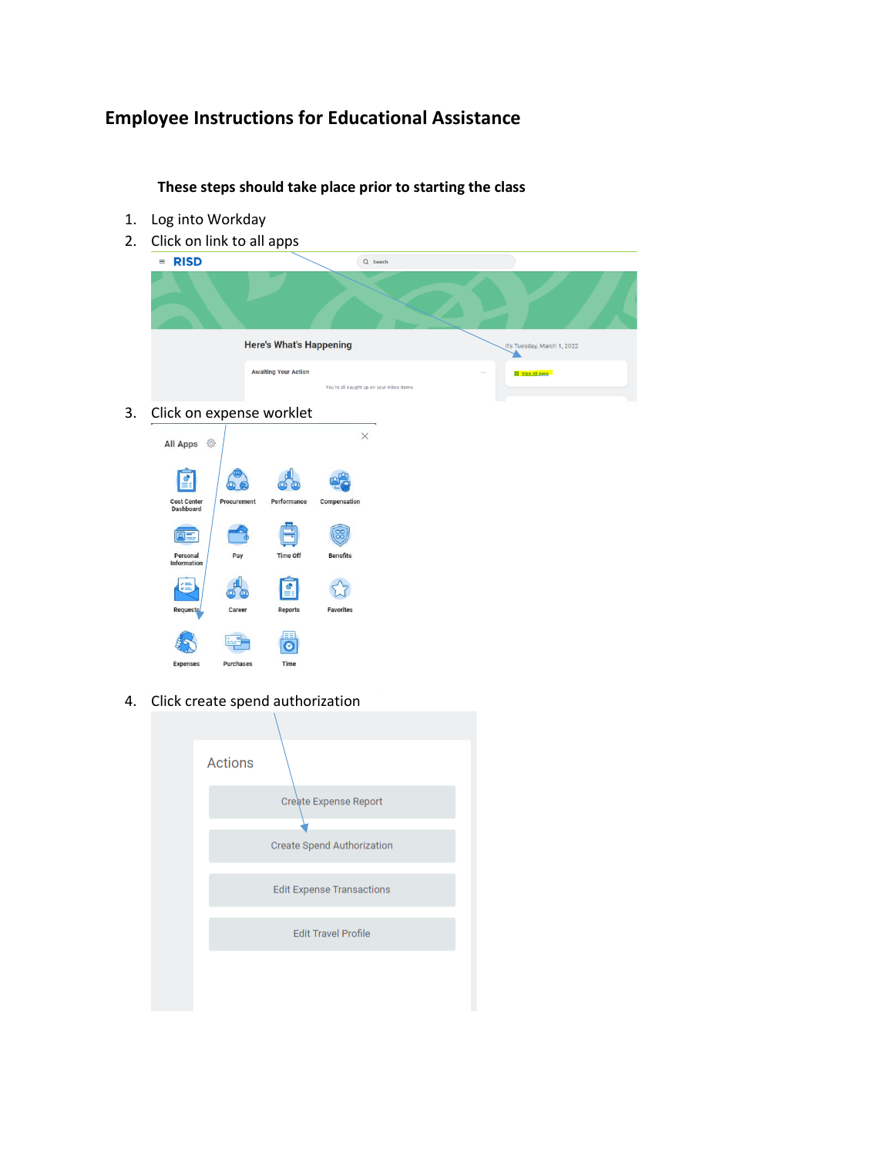## **Employee Instructions for Educational Assistance**

**These steps should take place prior to starting the class**

- 1. Log into Workday
- 2. Click on link to all apps



4. Click create spend authorization

Time

| <b>Actions</b> |                                   |
|----------------|-----------------------------------|
|                | Create Expense Report             |
|                |                                   |
|                | <b>Create Spend Authorization</b> |
|                |                                   |
|                | <b>Edit Expense Transactions</b>  |
|                |                                   |
|                | <b>Edit Travel Profile</b>        |
|                |                                   |
|                |                                   |
|                |                                   |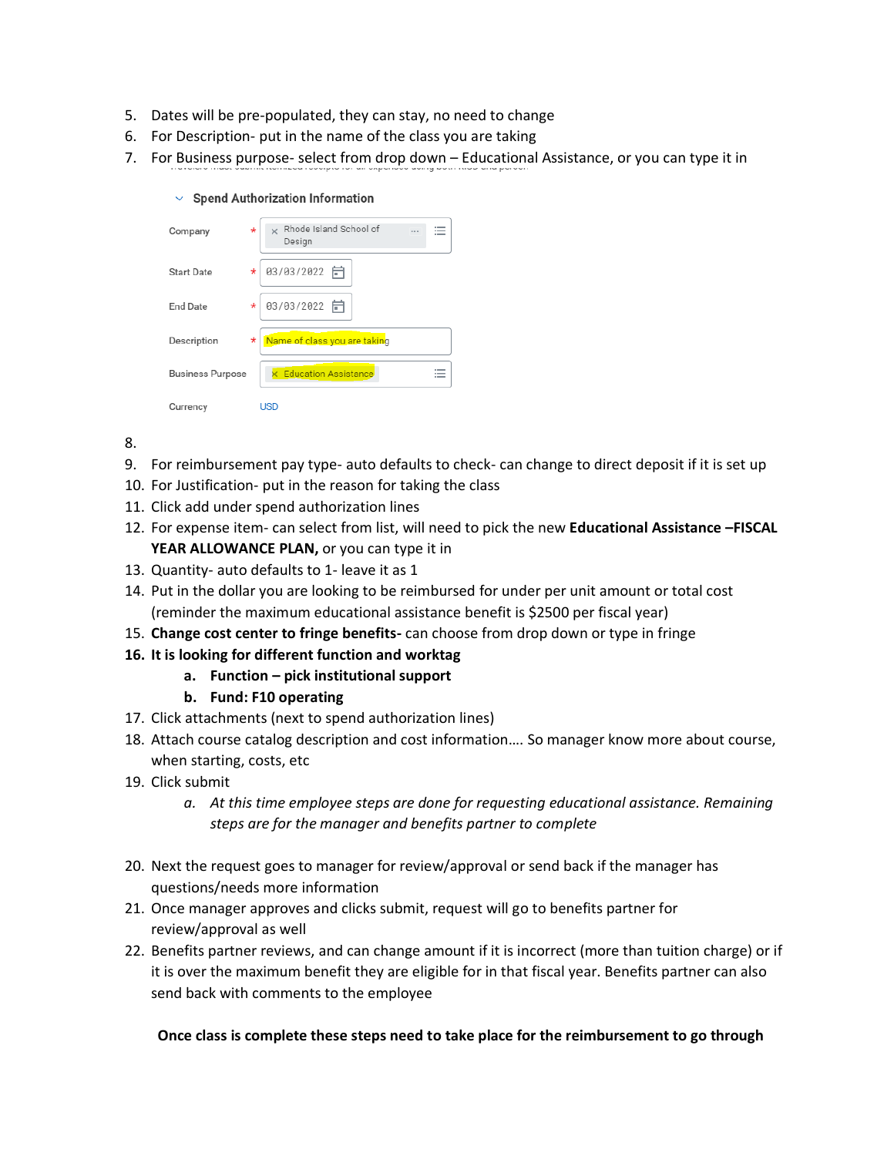- 5. Dates will be pre-populated, they can stay, no need to change
- 6. For Description- put in the name of the class you are taking
- 7. For Business purpose- select from drop down Educational Assistance, or you can type it in

| <b>Spend Authorization Information</b> | $\checkmark$ |  |  |  |
|----------------------------------------|--------------|--|--|--|
|----------------------------------------|--------------|--|--|--|

| Company                 | $^\star$ | Rhode Island School of<br>$\times$<br>Design |
|-------------------------|----------|----------------------------------------------|
| <b>Start Date</b>       | *        | 03/03/2022 日                                 |
| <b>End Date</b>         | *        | 03/03/2022 日                                 |
| Description             | *        | Name of class you are taking                 |
| <b>Business Purpose</b> |          | <b>Education Assistance</b>                  |
| Currency                |          | USD                                          |

- 8.
- 9. For reimbursement pay type- auto defaults to check- can change to direct deposit if it is set up
- 10. For Justification- put in the reason for taking the class
- 11. Click add under spend authorization lines
- 12. For expense item- can select from list, will need to pick the new **Educational Assistance –FISCAL YEAR ALLOWANCE PLAN,** or you can type it in
- 13. Quantity- auto defaults to 1- leave it as 1
- 14. Put in the dollar you are looking to be reimbursed for under per unit amount or total cost (reminder the maximum educational assistance benefit is \$2500 per fiscal year)
- 15. **Change cost center to fringe benefits-** can choose from drop down or type in fringe
- **16. It is looking for different function and worktag**
	- **a. Function – pick institutional support**

## **b. Fund: F10 operating**

- 17. Click attachments (next to spend authorization lines)
- 18. Attach course catalog description and cost information…. So manager know more about course, when starting, costs, etc
- 19. Click submit
	- *a. At this time employee steps are done for requesting educational assistance. Remaining steps are for the manager and benefits partner to complete*
- 20. Next the request goes to manager for review/approval or send back if the manager has questions/needs more information
- 21. Once manager approves and clicks submit, request will go to benefits partner for review/approval as well
- 22. Benefits partner reviews, and can change amount if it is incorrect (more than tuition charge) or if it is over the maximum benefit they are eligible for in that fiscal year. Benefits partner can also send back with comments to the employee

## **Once class is complete these steps need to take place for the reimbursement to go through**